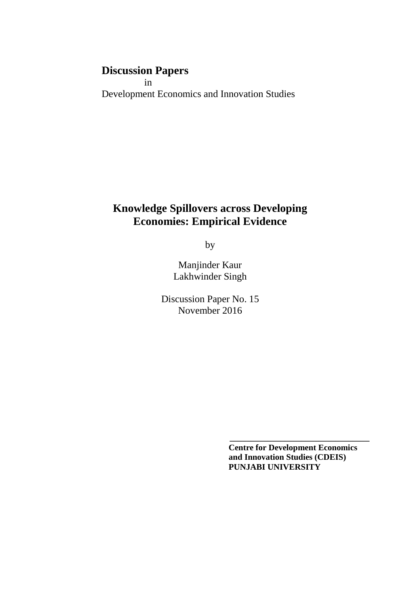# **Discussion Papers**

 in Development Economics and Innovation Studies

# **Knowledge Spillovers across Developing Economies: Empirical Evidence**

by

Manjinder Kaur Lakhwinder Singh

Discussion Paper No. 15 November 2016

> **Centre for Development Economics and Innovation Studies (CDEIS) PUNJABI UNIVERSITY**

**\_\_\_\_\_\_\_\_\_\_\_\_\_\_\_\_\_\_\_\_\_\_\_\_\_\_\_\_\_\_\_\_\_**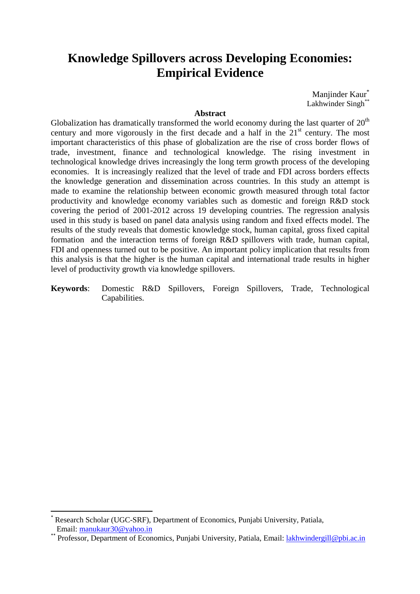# **Knowledge Spillovers across Developing Economies: Empirical Evidence**

Manjinder Kaur<sup>\*</sup> Lakhwinder Singh\*\*

## **Abstract**

Globalization has dramatically transformed the world economy during the last quarter of  $20<sup>th</sup>$ century and more vigorously in the first decade and a half in the  $21<sup>st</sup>$  century. The most important characteristics of this phase of globalization are the rise of cross border flows of trade, investment, finance and technological knowledge. The rising investment in technological knowledge drives increasingly the long term growth process of the developing economies. It is increasingly realized that the level of trade and FDI across borders effects the knowledge generation and dissemination across countries. In this study an attempt is made to examine the relationship between economic growth measured through total factor productivity and knowledge economy variables such as domestic and foreign R&D stock covering the period of 2001-2012 across 19 developing countries. The regression analysis used in this study is based on panel data analysis using random and fixed effects model. The results of the study reveals that domestic knowledge stock, human capital, gross fixed capital formation and the interaction terms of foreign R&D spillovers with trade, human capital, FDI and openness turned out to be positive. An important policy implication that results from this analysis is that the higher is the human capital and international trade results in higher level of productivity growth via knowledge spillovers.

**Keywords**: Domestic R&D Spillovers, Foreign Spillovers, Trade, Technological Capabilities.

 $\overline{a}$ 

<sup>\*</sup> Research Scholar (UGC-SRF), Department of Economics, Punjabi University, Patiala, Email: manukaur30@yahoo.in

<sup>\*\*</sup> Professor, Department of Economics, Punjabi University, Patiala, Email: lakhwindergill@pbi.ac.in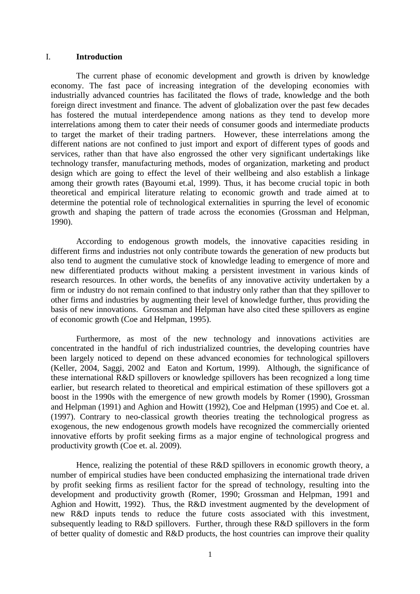#### I. **Introduction**

 The current phase of economic development and growth is driven by knowledge economy. The fast pace of increasing integration of the developing economies with industrially advanced countries has facilitated the flows of trade, knowledge and the both foreign direct investment and finance. The advent of globalization over the past few decades has fostered the mutual interdependence among nations as they tend to develop more interrelations among them to cater their needs of consumer goods and intermediate products to target the market of their trading partners. However, these interrelations among the different nations are not confined to just import and export of different types of goods and services, rather than that have also engrossed the other very significant undertakings like technology transfer, manufacturing methods, modes of organization, marketing and product design which are going to effect the level of their wellbeing and also establish a linkage among their growth rates (Bayoumi et.al, 1999). Thus, it has become crucial topic in both theoretical and empirical literature relating to economic growth and trade aimed at to determine the potential role of technological externalities in spurring the level of economic growth and shaping the pattern of trade across the economies (Grossman and Helpman, 1990).

 According to endogenous growth models, the innovative capacities residing in different firms and industries not only contribute towards the generation of new products but also tend to augment the cumulative stock of knowledge leading to emergence of more and new differentiated products without making a persistent investment in various kinds of research resources. In other words, the benefits of any innovative activity undertaken by a firm or industry do not remain confined to that industry only rather than that they spillover to other firms and industries by augmenting their level of knowledge further, thus providing the basis of new innovations. Grossman and Helpman have also cited these spillovers as engine of economic growth (Coe and Helpman, 1995).

 Furthermore, as most of the new technology and innovations activities are concentrated in the handful of rich industrialized countries, the developing countries have been largely noticed to depend on these advanced economies for technological spillovers (Keller, 2004, Saggi, 2002 and Eaton and Kortum, 1999). Although, the significance of these international R&D spillovers or knowledge spillovers has been recognized a long time earlier, but research related to theoretical and empirical estimation of these spillovers got a boost in the 1990s with the emergence of new growth models by Romer (1990), Grossman and Helpman (1991) and Aghion and Howitt (1992), Coe and Helpman (1995) and Coe et. al. (1997). Contrary to neo-classical growth theories treating the technological progress as exogenous, the new endogenous growth models have recognized the commercially oriented innovative efforts by profit seeking firms as a major engine of technological progress and productivity growth (Coe et. al. 2009).

Hence, realizing the potential of these R&D spillovers in economic growth theory, a number of empirical studies have been conducted emphasizing the international trade driven by profit seeking firms as resilient factor for the spread of technology, resulting into the development and productivity growth (Romer, 1990; Grossman and Helpman, 1991 and Aghion and Howitt, 1992). Thus, the R&D investment augmented by the development of new R&D inputs tends to reduce the future costs associated with this investment, subsequently leading to R&D spillovers. Further, through these R&D spillovers in the form of better quality of domestic and R&D products, the host countries can improve their quality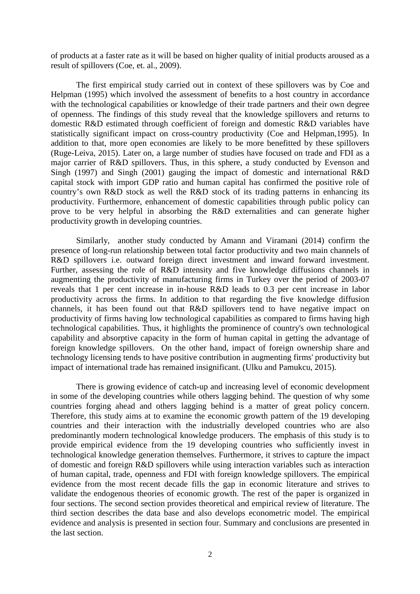of products at a faster rate as it will be based on higher quality of initial products aroused as a result of spillovers (Coe, et. al., 2009).

The first empirical study carried out in context of these spillovers was by Coe and Helpman (1995) which involved the assessment of benefits to a host country in accordance with the technological capabilities or knowledge of their trade partners and their own degree of openness. The findings of this study reveal that the knowledge spillovers and returns to domestic R&D estimated through coefficient of foreign and domestic R&D variables have statistically significant impact on cross-country productivity (Coe and Helpman,1995). In addition to that, more open economies are likely to be more benefitted by these spillovers (Ruge-Leiva, 2015). Later on, a large number of studies have focused on trade and FDI as a major carrier of R&D spillovers. Thus, in this sphere, a study conducted by Evenson and Singh (1997) and Singh (2001) gauging the impact of domestic and international R&D capital stock with import GDP ratio and human capital has confirmed the positive role of country's own R&D stock as well the R&D stock of its trading patterns in enhancing its productivity. Furthermore, enhancement of domestic capabilities through public policy can prove to be very helpful in absorbing the R&D externalities and can generate higher productivity growth in developing countries.

Similarly, another study conducted by Amann and Viramani (2014) confirm the presence of long-run relationship between total factor productivity and two main channels of R&D spillovers i.e. outward foreign direct investment and inward forward investment. Further, assessing the role of R&D intensity and five knowledge diffusions channels in augmenting the productivity of manufacturing firms in Turkey over the period of 2003-07 reveals that 1 per cent increase in in-house R&D leads to 0.3 per cent increase in labor productivity across the firms. In addition to that regarding the five knowledge diffusion channels, it has been found out that R&D spillovers tend to have negative impact on productivity of firms having low technological capabilities as compared to firms having high technological capabilities. Thus, it highlights the prominence of country's own technological capability and absorptive capacity in the form of human capital in getting the advantage of foreign knowledge spillovers. On the other hand, impact of foreign ownership share and technology licensing tends to have positive contribution in augmenting firms' productivity but impact of international trade has remained insignificant. (Ulku and Pamukcu, 2015).

There is growing evidence of catch-up and increasing level of economic development in some of the developing countries while others lagging behind. The question of why some countries forging ahead and others lagging behind is a matter of great policy concern. Therefore, this study aims at to examine the economic growth pattern of the 19 developing countries and their interaction with the industrially developed countries who are also predominantly modern technological knowledge producers. The emphasis of this study is to provide empirical evidence from the 19 developing countries who sufficiently invest in technological knowledge generation themselves. Furthermore, it strives to capture the impact of domestic and foreign R&D spillovers while using interaction variables such as interaction of human capital, trade, openness and FDI with foreign knowledge spillovers. The empirical evidence from the most recent decade fills the gap in economic literature and strives to validate the endogenous theories of economic growth. The rest of the paper is organized in four sections. The second section provides theoretical and empirical review of literature. The third section describes the data base and also develops econometric model. The empirical evidence and analysis is presented in section four. Summary and conclusions are presented in the last section.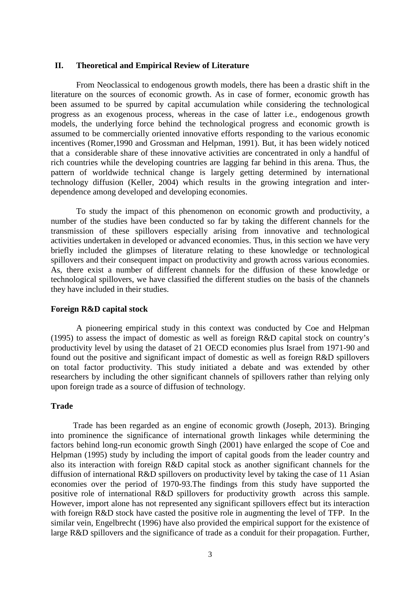## **II. Theoretical and Empirical Review of Literature**

 From Neoclassical to endogenous growth models, there has been a drastic shift in the literature on the sources of economic growth. As in case of former, economic growth has been assumed to be spurred by capital accumulation while considering the technological progress as an exogenous process, whereas in the case of latter i.e., endogenous growth models, the underlying force behind the technological progress and economic growth is assumed to be commercially oriented innovative efforts responding to the various economic incentives (Romer,1990 and Grossman and Helpman, 1991). But, it has been widely noticed that a considerable share of these innovative activities are concentrated in only a handful of rich countries while the developing countries are lagging far behind in this arena. Thus, the pattern of worldwide technical change is largely getting determined by international technology diffusion (Keller, 2004) which results in the growing integration and interdependence among developed and developing economies.

To study the impact of this phenomenon on economic growth and productivity, a number of the studies have been conducted so far by taking the different channels for the transmission of these spillovers especially arising from innovative and technological activities undertaken in developed or advanced economies. Thus, in this section we have very briefly included the glimpses of literature relating to these knowledge or technological spillovers and their consequent impact on productivity and growth across various economies. As, there exist a number of different channels for the diffusion of these knowledge or technological spillovers, we have classified the different studies on the basis of the channels they have included in their studies.

#### **Foreign R&D capital stock**

 A pioneering empirical study in this context was conducted by Coe and Helpman (1995) to assess the impact of domestic as well as foreign R&D capital stock on country's productivity level by using the dataset of 21 OECD economies plus Israel from 1971-90 and found out the positive and significant impact of domestic as well as foreign R&D spillovers on total factor productivity. This study initiated a debate and was extended by other researchers by including the other significant channels of spillovers rather than relying only upon foreign trade as a source of diffusion of technology.

## **Trade**

Trade has been regarded as an engine of economic growth (Joseph, 2013). Bringing into prominence the significance of international growth linkages while determining the factors behind long-run economic growth Singh (2001) have enlarged the scope of Coe and Helpman (1995) study by including the import of capital goods from the leader country and also its interaction with foreign R&D capital stock as another significant channels for the diffusion of international R&D spillovers on productivity level by taking the case of 11 Asian economies over the period of 1970-93.The findings from this study have supported the positive role of international R&D spillovers for productivity growth across this sample. However, import alone has not represented any significant spillovers effect but its interaction with foreign R&D stock have casted the positive role in augmenting the level of TFP. In the similar vein, Engelbrecht (1996) have also provided the empirical support for the existence of large R&D spillovers and the significance of trade as a conduit for their propagation. Further,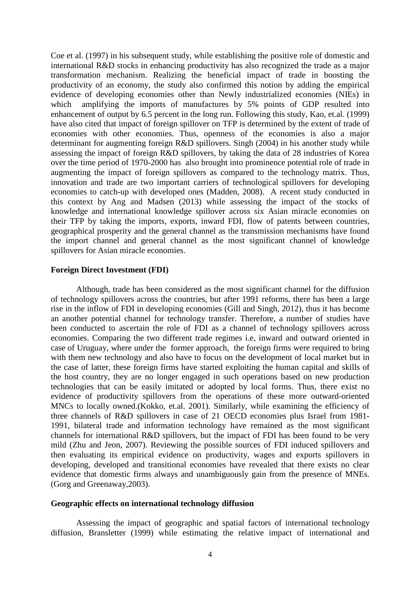Coe et al. (1997) in his subsequent study, while establishing the positive role of domestic and international R&D stocks in enhancing productivity has also recognized the trade as a major transformation mechanism. Realizing the beneficial impact of trade in boosting the productivity of an economy, the study also confirmed this notion by adding the empirical evidence of developing economies other than Newly industrialized economies (NIEs) in which amplifying the imports of manufactures by 5% points of GDP resulted into enhancement of output by 6.5 percent in the long run. Following this study, Kao, et.al. (1999) have also cited that impact of foreign spillover on TFP is determined by the extent of trade of economies with other economies. Thus, openness of the economies is also a major determinant for augmenting foreign R&D spillovers. Singh (2004) in his another study while assessing the impact of foreign R&D spillovers, by taking the data of 28 industries of Korea over the time period of 1970-2000 has also brought into prominence potential role of trade in augmenting the impact of foreign spillovers as compared to the technology matrix. Thus, innovation and trade are two important carriers of technological spillovers for developing economies to catch-up with developed ones (Madden, 2008). A recent study conducted in this context by Ang and Madsen (2013) while assessing the impact of the stocks of knowledge and international knowledge spillover across six Asian miracle economies on their TFP by taking the imports, exports, inward FDI, flow of patents between countries, geographical prosperity and the general channel as the transmission mechanisms have found the import channel and general channel as the most significant channel of knowledge spillovers for Asian miracle economies.

## **Foreign Direct Investment (FDI)**

 Although, trade has been considered as the most significant channel for the diffusion of technology spillovers across the countries, but after 1991 reforms, there has been a large rise in the inflow of FDI in developing economies (Gill and Singh, 2012), thus it has become an another potential channel for technology transfer. Therefore, a number of studies have been conducted to ascertain the role of FDI as a channel of technology spillovers across economies. Comparing the two different trade regimes i.e, inward and outward oriented in case of Uruguay, where under the former approach, the foreign firms were required to bring with them new technology and also have to focus on the development of local market but in the case of latter, these foreign firms have started exploiting the human capital and skills of the host country, they are no longer engaged in such operations based on new production technologies that can be easily imitated or adopted by local forms. Thus, there exist no evidence of productivity spillovers from the operations of these more outward-oriented MNCs to locally owned.(Kokko, et.al. 2001). Similarly, while examining the efficiency of three channels of R&D spillovers in case of 21 OECD economies plus Israel from 1981- 1991, bilateral trade and information technology have remained as the most significant channels for international R&D spillovers, but the impact of FDI has been found to be very mild (Zhu and Jeon, 2007). Reviewing the possible sources of FDI induced spillovers and then evaluating its empirical evidence on productivity, wages and exports spillovers in developing, developed and transitional economies have revealed that there exists no clear evidence that domestic firms always and unambiguously gain from the presence of MNEs. (Gorg and Greenaway,2003).

## **Geographic effects on international technology diffusion**

Assessing the impact of geographic and spatial factors of international technology diffusion, Bransletter (1999) while estimating the relative impact of international and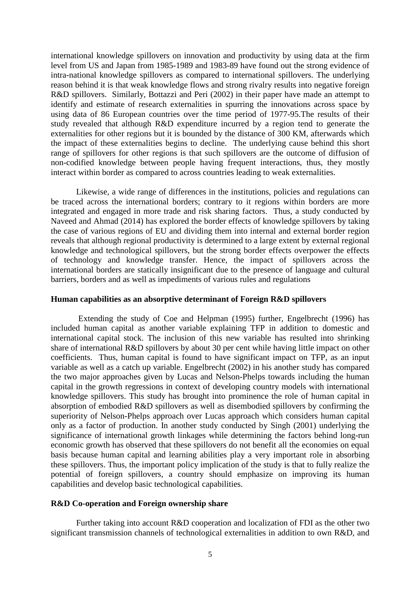international knowledge spillovers on innovation and productivity by using data at the firm level from US and Japan from 1985-1989 and 1983-89 have found out the strong evidence of intra-national knowledge spillovers as compared to international spillovers. The underlying reason behind it is that weak knowledge flows and strong rivalry results into negative foreign R&D spillovers. Similarly, Bottazzi and Peri (2002) in their paper have made an attempt to identify and estimate of research externalities in spurring the innovations across space by using data of 86 European countries over the time period of 1977-95.The results of their study revealed that although R&D expenditure incurred by a region tend to generate the externalities for other regions but it is bounded by the distance of 300 KM, afterwards which the impact of these externalities begins to decline. The underlying cause behind this short range of spillovers for other regions is that such spillovers are the outcome of diffusion of non-codified knowledge between people having frequent interactions, thus, they mostly interact within border as compared to across countries leading to weak externalities.

 Likewise, a wide range of differences in the institutions, policies and regulations can be traced across the international borders; contrary to it regions within borders are more integrated and engaged in more trade and risk sharing factors. Thus, a study conducted by Naveed and Ahmad (2014) has explored the border effects of knowledge spillovers by taking the case of various regions of EU and dividing them into internal and external border region reveals that although regional productivity is determined to a large extent by external regional knowledge and technological spillovers, but the strong border effects overpower the effects of technology and knowledge transfer. Hence, the impact of spillovers across the international borders are statically insignificant due to the presence of language and cultural barriers, borders and as well as impediments of various rules and regulations

## **Human capabilities as an absorptive determinant of Foreign R&D spillovers**

 Extending the study of Coe and Helpman (1995) further, Engelbrecht (1996) has included human capital as another variable explaining TFP in addition to domestic and international capital stock. The inclusion of this new variable has resulted into shrinking share of international R&D spillovers by about 30 per cent while having little impact on other coefficients. Thus, human capital is found to have significant impact on TFP, as an input variable as well as a catch up variable. Engelbrecht (2002) in his another study has compared the two major approaches given by Lucas and Nelson-Phelps towards including the human capital in the growth regressions in context of developing country models with international knowledge spillovers. This study has brought into prominence the role of human capital in absorption of embodied R&D spillovers as well as disembodied spillovers by confirming the superiority of Nelson-Phelps approach over Lucas approach which considers human capital only as a factor of production. In another study conducted by Singh (2001) underlying the significance of international growth linkages while determining the factors behind long-run economic growth has observed that these spillovers do not benefit all the economies on equal basis because human capital and learning abilities play a very important role in absorbing these spillovers. Thus, the important policy implication of the study is that to fully realize the potential of foreign spillovers, a country should emphasize on improving its human capabilities and develop basic technological capabilities.

#### **R&D Co-operation and Foreign ownership share**

 Further taking into account R&D cooperation and localization of FDI as the other two significant transmission channels of technological externalities in addition to own R&D, and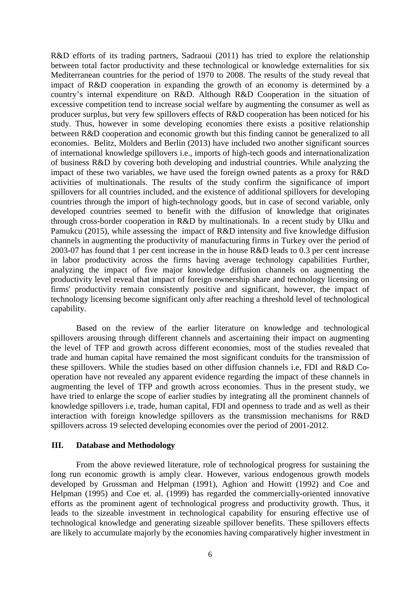R&D efforts of its trading partners, Sadraoui (2011) has tried to explore the relationship between total factor productivity and these technological or knowledge externalities for six Mediterranean countries for the period of 1970 to 2008. The results of the study reveal that impact of R&D cooperation in expanding the growth of an economy is determined by a country's internal expenditure on R&D. Although R&D Cooperation in the situation of excessive competition tend to increase social welfare by augmenting the consumer as well as producer surplus, but very few spillovers effects of R&D cooperation has been noticed for his study. Thus, however in some developing economies there exists a positive relationship between R&D cooperation and economic growth but this finding cannot be generalized to all economies. Belitz, Molders and Berlin (2013) have included two another significant sources of international knowledge spillovers i.e., imports of high-tech goods and internationalization of business R&D by covering both developing and industrial countries. While analyzing the impact of these two variables, we have used the foreign owned patents as a proxy for R&D activities of multinationals. The results of the study confirm the significance of import spillovers for all countries included, and the existence of additional spillovers for developing countries through the import of high-technology goods, but in case of second variable, only developed countries seemed to benefit with the diffusion of knowledge that originates through cross-border cooperation in R&D by multinationals. In a recent study by Ulku and Pamukcu (2015), while assessing the impact of R&D intensity and five knowledge diffusion channels in augmenting the productivity of manufacturing firms in Turkey over the period of 2003-07 has found that 1 per cent increase in the in house R&D leads to 0.3 per cent increase in labor productivity across the firms having average technology capabilities Further, analyzing the impact of five major knowledge diffusion channels on augmenting the productivity level reveal that impact of foreign ownership share and technology licensing on firms' productivity remain consistently positive and significant, however, the impact of technology licensing become significant only after reaching a threshold level of technological capability.

Based on the review of the earlier literature on knowledge and technological spillovers arousing through different channels and ascertaining their impact on augmenting the level of TFP and growth across different economies, most of the studies revealed that trade and human capital have remained the most significant conduits for the transmission of these spillovers. While the studies based on other diffusion channels i.e, FDI and R&D Cooperation have not revealed any apparent evidence regarding the impact of these channels in augmenting the level of TFP and growth across economies. Thus in the present study, we have tried to enlarge the scope of earlier studies by integrating all the prominent channels of knowledge spillovers i.e, trade, human capital, FDI and openness to trade and as well as their interaction with foreign knowledge spillovers as the transmission mechanisms for R&D spillovers across 19 selected developing economies over the period of 2001-2012.

### **III. Database and Methodology**

 From the above reviewed literature, role of technological progress for sustaining the long run economic growth is amply clear. However, various endogenous growth models developed by Grossman and Helpman (1991), Aghion and Howitt (1992) and Coe and Helpman (1995) and Coe et. al. (1999) has regarded the commercially-oriented innovative efforts as the prominent agent of technological progress and productivity growth. Thus, it leads to the sizeable investment in technological capability for ensuring effective use of technological knowledge and generating sizeable spillover benefits. These spillovers effects are likely to accumulate majorly by the economies having comparatively higher investment in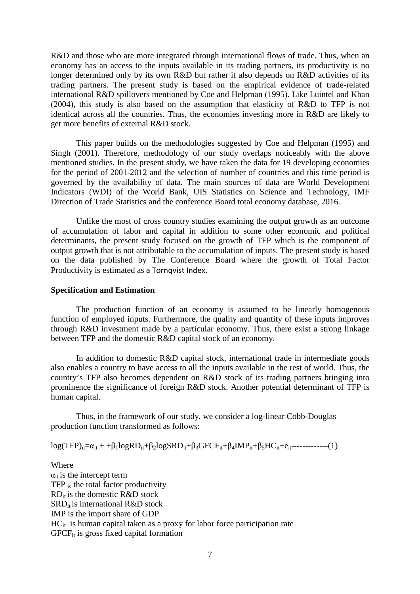R&D and those who are more integrated through international flows of trade. Thus, when an economy has an access to the inputs available in its trading partners, its productivity is no longer determined only by its own R&D but rather it also depends on R&D activities of its trading partners. The present study is based on the empirical evidence of trade-related international R&D spillovers mentioned by Coe and Helpman (1995). Like Luintel and Khan (2004), this study is also based on the assumption that elasticity of R&D to TFP is not identical across all the countries. Thus, the economies investing more in R&D are likely to get more benefits of external R&D stock.

 This paper builds on the methodologies suggested by Coe and Helpman (1995) and Singh (2001). Therefore, methodology of our study overlaps noticeably with the above mentioned studies. In the present study, we have taken the data for 19 developing economies for the period of 2001-2012 and the selection of number of countries and this time period is governed by the availability of data. The main sources of data are World Development Indicators (WDI) of the World Bank, UIS Statistics on Science and Technology, IMF Direction of Trade Statistics and the conference Board total economy database, 2016.

 Unlike the most of cross country studies examining the output growth as an outcome of accumulation of labor and capital in addition to some other economic and political determinants, the present study focused on the growth of TFP which is the component of output growth that is not attributable to the accumulation of inputs. The present study is based on the data published by The Conference Board where the growth of Total Factor Productivity is estimated as a Tornqvist Index.

### **Specification and Estimation**

The production function of an economy is assumed to be linearly homogenous function of employed inputs. Furthermore, the quality and quantity of these inputs improves through R&D investment made by a particular economy. Thus, there exist a strong linkage between TFP and the domestic R&D capital stock of an economy.

In addition to domestic R&D capital stock, international trade in intermediate goods also enables a country to have access to all the inputs available in the rest of world. Thus, the country's TFP also becomes dependent on R&D stock of its trading partners bringing into prominence the significance of foreign R&D stock. Another potential determinant of TFP is human capital.

Thus, in the framework of our study, we consider a log-linear Cobb-Douglas production function transformed as follows:

 $log(TFP)_{it} = α_{it} + β_1 logRD_{it} + β_2 logSRD_{it} + β_3 GFCF_{it} + β_4 IMP_{it} + β_5 HC_{it} + e_{it} - \cdots - \cdots - (1)$ 

### Where

 $\alpha_{it}$  is the intercept term TFP is the total factor productivity  $RD_{it}$  is the domestic R&D stock  $SRD<sub>it</sub>$  is international R&D stock IMP is the import share of GDP  $HC_{it}$  is human capital taken as a proxy for labor force participation rate GFCFit is gross fixed capital formation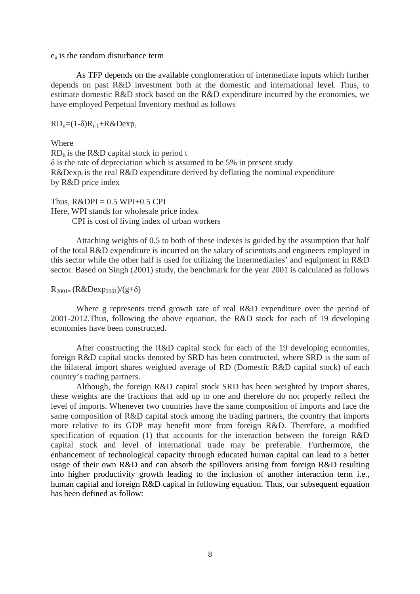$e_{it}$  is the random disturbance term

 As TFP depends on the available conglomeration of intermediate inputs which further depends on past R&D investment both at the domestic and international level. Thus, to estimate domestic R&D stock based on the R&D expenditure incurred by the economies, we have employed Perpetual Inventory method as follows

 $RD_{it}=(1-\delta)R_{t-1}+R\&Dexp_{t}$ 

Where

 $RD_{it}$  is the R&D capital stock in period t  $\delta$  is the rate of depreciation which is assumed to be 5% in present study  $R\&Dexp<sub>t</sub>$  is the real  $R\&D$  expenditure derived by deflating the nominal expenditure by R&D price index

Thus,  $R\&DPI = 0.5 \text{ WPI}+0.5 \text{ CPI}$ Here, WPI stands for wholesale price index CPI is cost of living index of urban workers

 Attaching weights of 0.5 to both of these indexes is guided by the assumption that half of the total R&D expenditure is incurred on the salary of scientists and engineers employed in this sector while the other half is used for utilizing the intermediaries' and equipment in R&D sector. Based on Singh (2001) study, the benchmark for the year 2001 is calculated as follows

 $R_{2001} = (R&Dexp_{2001})/(g+\delta)$ 

Where g represents trend growth rate of real R&D expenditure over the period of 2001-2012.Thus, following the above equation, the R&D stock for each of 19 developing economies have been constructed.

 After constructing the R&D capital stock for each of the 19 developing economies, foreign R&D capital stocks denoted by SRD has been constructed, where SRD is the sum of the bilateral import shares weighted average of RD (Domestic R&D capital stock) of each country's trading partners.

 Although, the foreign R&D capital stock SRD has been weighted by import shares, these weights are the fractions that add up to one and therefore do not properly reflect the level of imports. Whenever two countries have the same composition of imports and face the same composition of R&D capital stock among the trading partners, the country that imports more relative to its GDP may benefit more from foreign R&D. Therefore, a modified specification of equation (1) that accounts for the interaction between the foreign R&D capital stock and level of international trade may be preferable. Furthermore, the enhancement of technological capacity through educated human capital can lead to a better usage of their own R&D and can absorb the spillovers arising from foreign R&D resulting into higher productivity growth leading to the inclusion of another interaction term i.e., human capital and foreign R&D capital in following equation. Thus, our subsequent equation has been defined as follow: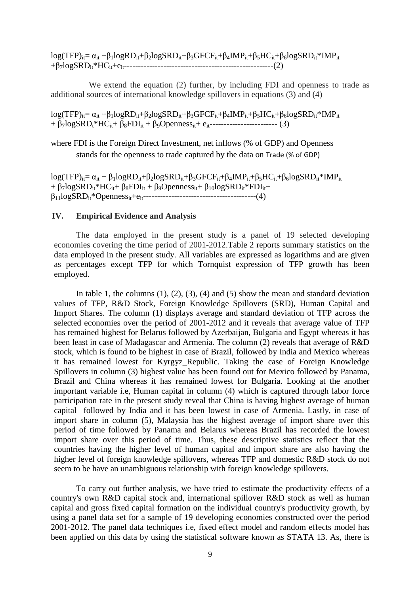$log(TFP)_{it} = \alpha_{it} + \beta_1 logRD_{it} + \beta_2 logSRD_{it} + \beta_3 GFCF_{it} + \beta_4 IMP_{it} + \beta_5 HC_{it} + \beta_6 logSRD_{it} * IMP_{it}$ +β7logSRDit\*HCit+eit-----------------------------------------------------(2)

 We extend the equation (2) further, by including FDI and openness to trade as additional sources of international knowledge spillovers in equations (3) and (4)

 $log(TFP)_{it} = \alpha_{it} + \beta_1 logRD_{it} + \beta_2 logSRD_{it} + \beta_3 GFCF_{it} + \beta_4 IMP_{it} + \beta_5 HC_{it} + \beta_6 logSRD_{it} * IMP_{it}$ + β7logSRDt\*HCit+ β8FDIit + β9Opennessit+ eit------------------------ (3)

where FDI is the Foreign Direct Investment, net inflows (% of GDP) and Openness stands for the openness to trade captured by the data on Trade (% of GDP)

log(TFP)<sub>it</sub>=  $\alpha_{it}$  +  $\beta_1$ logRD<sub>it</sub>+ $\beta_2$ logSRD<sub>it</sub>+ $\beta_3$ GFCF<sub>it</sub>+ $\beta_4$ IMP<sub>it</sub>+ $\beta_5$ HC<sub>it</sub>+ $\beta_6$ logSRD<sub>it</sub>\*IMP<sub>it</sub> +  $\beta$ 7logSRD<sub>it</sub>\*HC<sub>it</sub>+  $\beta_8$ FDI<sub>it</sub> +  $\beta_9$ Openness<sub>it</sub>+  $\beta_{10}$ logSRD<sub>it</sub>\*FDI<sub>it</sub>+ β11logSRDit\*Opennessit+eit----------------------------------------(4)

#### **IV. Empirical Evidence and Analysis**

The data employed in the present study is a panel of 19 selected developing economies covering the time period of 2001-2012.Table 2 reports summary statistics on the data employed in the present study. All variables are expressed as logarithms and are given as percentages except TFP for which Tornquist expression of TFP growth has been employed.

In table 1, the columns  $(1)$ ,  $(2)$ ,  $(3)$ ,  $(4)$  and  $(5)$  show the mean and standard deviation values of TFP, R&D Stock, Foreign Knowledge Spillovers (SRD), Human Capital and Import Shares. The column (1) displays average and standard deviation of TFP across the selected economies over the period of 2001-2012 and it reveals that average value of TFP has remained highest for Belarus followed by Azerbaijan, Bulgaria and Egypt whereas it has been least in case of Madagascar and Armenia. The column (2) reveals that average of R&D stock, which is found to be highest in case of Brazil, followed by India and Mexico whereas it has remained lowest for Kyrgyz\_Republic. Taking the case of Foreign Knowledge Spillovers in column (3) highest value has been found out for Mexico followed by Panama, Brazil and China whereas it has remained lowest for Bulgaria. Looking at the another important variable i.e, Human capital in column (4) which is captured through labor force participation rate in the present study reveal that China is having highest average of human capital followed by India and it has been lowest in case of Armenia. Lastly, in case of import share in column (5), Malaysia has the highest average of import share over this period of time followed by Panama and Belarus whereas Brazil has recorded the lowest import share over this period of time. Thus, these descriptive statistics reflect that the countries having the higher level of human capital and import share are also having the higher level of foreign knowledge spillovers, whereas TFP and domestic R&D stock do not seem to be have an unambiguous relationship with foreign knowledge spillovers.

To carry out further analysis, we have tried to estimate the productivity effects of a country's own R&D capital stock and, international spillover R&D stock as well as human capital and gross fixed capital formation on the individual country's productivity growth, by using a panel data set for a sample of 19 developing economies constructed over the period 2001-2012. The panel data techniques i.e, fixed effect model and random effects model has been applied on this data by using the statistical software known as STATA 13. As, there is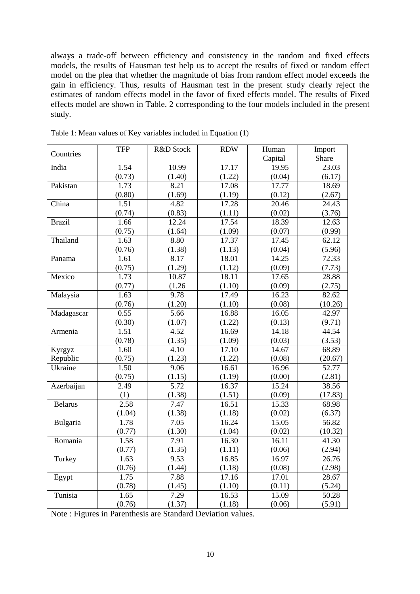always a trade-off between efficiency and consistency in the random and fixed effects models, the results of Hausman test help us to accept the results of fixed or random effect model on the plea that whether the magnitude of bias from random effect model exceeds the gain in efficiency. Thus, results of Hausman test in the present study clearly reject the estimates of random effects model in the favor of fixed effects model. The results of Fixed effects model are shown in Table. 2 corresponding to the four models included in the present study.

|                | <b>TFP</b> | R&D Stock | <b>RDW</b> | Human   | Import  |
|----------------|------------|-----------|------------|---------|---------|
| Countries      |            |           |            | Capital | Share   |
| India          | 1.54       | 10.99     | 17.17      | 19.95   | 23.03   |
|                | (0.73)     | (1.40)    | (1.22)     | (0.04)  | (6.17)  |
| Pakistan       | 1.73       | 8.21      | 17.08      | 17.77   | 18.69   |
|                | (0.80)     | (1.69)    | (1.19)     | (0.12)  | (2.67)  |
| China          | 1.51       | 4.82      | 17.28      | 20.46   | 24.43   |
|                | (0.74)     | (0.83)    | (1.11)     | (0.02)  | (3.76)  |
| <b>Brazil</b>  | 1.66       | 12.24     | 17.54      | 18.39   | 12.63   |
|                | (0.75)     | (1.64)    | (1.09)     | (0.07)  | (0.99)  |
| Thailand       | 1.63       | 8.80      | 17.37      | 17.45   | 62.12   |
|                | (0.76)     | (1.38)    | (1.13)     | (0.04)  | (5.96)  |
| Panama         | 1.61       | 8.17      | 18.01      | 14.25   | 72.33   |
|                | (0.75)     | (1.29)    | (1.12)     | (0.09)  | (7.73)  |
| Mexico         | 1.73       | 10.87     | 18.11      | 17.65   | 28.88   |
|                | (0.77)     | (1.26)    | (1.10)     | (0.09)  | (2.75)  |
| Malaysia       | 1.63       | 9.78      | 17.49      | 16.23   | 82.62   |
|                | (0.76)     | (1.20)    | (1.10)     | (0.08)  | (10.26) |
| Madagascar     | 0.55       | 5.66      | 16.88      | 16.05   | 42.97   |
|                | (0.30)     | (1.07)    | (1.22)     | (0.13)  | (9.71)  |
| Armenia        | 1.51       | 4.52      | 16.69      | 14.18   | 44.54   |
|                | (0.78)     | (1.35)    | (1.09)     | (0.03)  | (3.53)  |
| Kyrgyz         | 1.60       | 4.10      | 17.10      | 14.67   | 68.89   |
| Republic       | (0.75)     | (1.23)    | (1.22)     | (0.08)  | (20.67) |
| Ukraine        | 1.50       | 9.06      | 16.61      | 16.96   | 52.77   |
|                | (0.75)     | (1.15)    | (1.19)     | (0.00)  | (2.81)  |
| Azerbaijan     | 2.49       | 5.72      | 16.37      | 15.24   | 38.56   |
|                | (1)        | (1.38)    | (1.51)     | (0.09)  | (17.83) |
| <b>Belarus</b> | 2.58       | 7.47      | 16.51      | 15.33   | 68.98   |
|                | (1.04)     | (1.38)    | (1.18)     | (0.02)  | (6.37)  |
| Bulgaria       | 1.78       | 7.05      | 16.24      | 15.05   | 56.82   |
|                | (0.77)     | (1.30)    | (1.04)     | (0.02)  | (10.32) |
| Romania        | 1.58       | 7.91      | 16.30      | 16.11   | 41.30   |
|                | (0.77)     | (1.35)    | (1.11)     | (0.06)  | (2.94)  |
| Turkey         | 1.63       | 9.53      | 16.85      | 16.97   | 26.76   |
|                | (0.76)     | (1.44)    | (1.18)     | (0.08)  | (2.98)  |
| Egypt          | 1.75       | 7.88      | 17.16      | 17.01   | 28.67   |
|                | (0.78)     | (1.45)    | (1.10)     | (0.11)  | (5.24)  |
| Tunisia        | 1.65       | 7.29      | 16.53      | 15.09   | 50.28   |
|                | (0.76)     | (1.37)    | (1.18)     | (0.06)  | (5.91)  |

Table 1: Mean values of Key variables included in Equation (1)

Note : Figures in Parenthesis are Standard Deviation values.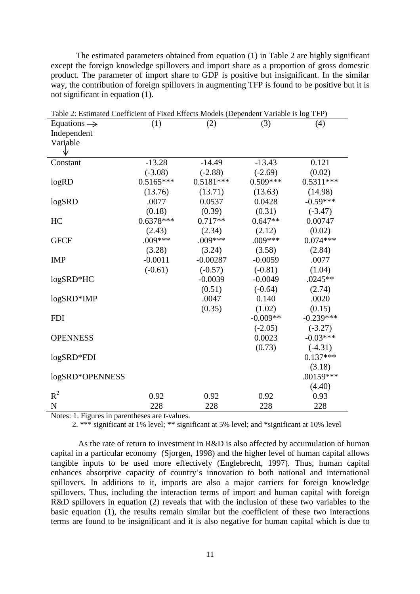The estimated parameters obtained from equation (1) in Table 2 are highly significant except the foreign knowledge spillovers and import share as a proportion of gross domestic product. The parameter of import share to GDP is positive but insignificant. In the similar way, the contribution of foreign spillovers in augmenting TFP is found to be positive but it is not significant in equation (1).

| Table 2: Estimated Coefficient of Fixed Effects Models (Dependent Variable is log TFP) |             |             |            |             |  |  |  |
|----------------------------------------------------------------------------------------|-------------|-------------|------------|-------------|--|--|--|
| Equations $\rightarrow$                                                                | (1)         | (2)         | (3)        | (4)         |  |  |  |
| Independent                                                                            |             |             |            |             |  |  |  |
| Variable                                                                               |             |             |            |             |  |  |  |
|                                                                                        |             |             |            |             |  |  |  |
| Constant                                                                               | $-13.28$    | $-14.49$    | $-13.43$   | 0.121       |  |  |  |
|                                                                                        | $(-3.08)$   | $(-2.88)$   | $(-2.69)$  | (0.02)      |  |  |  |
| logRD                                                                                  | $0.5165***$ | $0.5181***$ | $0.509***$ | $0.5311***$ |  |  |  |
|                                                                                        | (13.76)     | (13.71)     | (13.63)    | (14.98)     |  |  |  |
| logSRD                                                                                 | .0077       | 0.0537      | 0.0428     | $-0.59***$  |  |  |  |
|                                                                                        | (0.18)      | (0.39)      | (0.31)     | $(-3.47)$   |  |  |  |
| HC                                                                                     | $0.6378***$ | $0.717**$   | $0.647**$  | 0.00747     |  |  |  |
|                                                                                        | (2.43)      | (2.34)      | (2.12)     | (0.02)      |  |  |  |
| <b>GFCF</b>                                                                            | $.009***$   | $.009***$   | $.009***$  | $0.074***$  |  |  |  |
|                                                                                        | (3.28)      | (3.24)      | (3.58)     | (2.84)      |  |  |  |
| <b>IMP</b>                                                                             | $-0.0011$   | $-0.00287$  | $-0.0059$  | .0077       |  |  |  |
|                                                                                        | $(-0.61)$   | $(-0.57)$   | $(-0.81)$  | (1.04)      |  |  |  |
| logSRD*HC                                                                              |             | $-0.0039$   | $-0.0049$  | $.0245**$   |  |  |  |
|                                                                                        |             | (0.51)      | $(-0.64)$  | (2.74)      |  |  |  |
| logSRD*IMP                                                                             |             | .0047       | 0.140      | .0020       |  |  |  |
|                                                                                        |             | (0.35)      | (1.02)     | (0.15)      |  |  |  |
| <b>FDI</b>                                                                             |             |             | $-0.009**$ | $-0.239***$ |  |  |  |
|                                                                                        |             |             | $(-2.05)$  | $(-3.27)$   |  |  |  |
| <b>OPENNESS</b>                                                                        |             |             | 0.0023     | $-0.03***$  |  |  |  |
|                                                                                        |             |             | (0.73)     | $(-4.31)$   |  |  |  |
| logSRD*FDI                                                                             |             |             |            | $0.137***$  |  |  |  |
|                                                                                        |             |             |            | (3.18)      |  |  |  |
| logSRD*OPENNESS                                                                        |             |             |            | .00159***   |  |  |  |
|                                                                                        |             |             |            | (4.40)      |  |  |  |
| $R^2$                                                                                  | 0.92        | 0.92        | 0.92       | 0.93        |  |  |  |
| $\mathbf N$                                                                            | 228         | 228         | 228        | 228         |  |  |  |

Notes: 1. Figures in parentheses are t-values.

2. \*\*\* significant at 1% level; \*\* significant at 5% level; and \*significant at 10% level

 As the rate of return to investment in R&D is also affected by accumulation of human capital in a particular economy (Sjorgen, 1998) and the higher level of human capital allows tangible inputs to be used more effectively (Englebrecht, 1997). Thus, human capital enhances absorptive capacity of country's innovation to both national and international spillovers. In additions to it, imports are also a major carriers for foreign knowledge spillovers. Thus, including the interaction terms of import and human capital with foreign R&D spillovers in equation (2) reveals that with the inclusion of these two variables to the basic equation (1), the results remain similar but the coefficient of these two interactions terms are found to be insignificant and it is also negative for human capital which is due to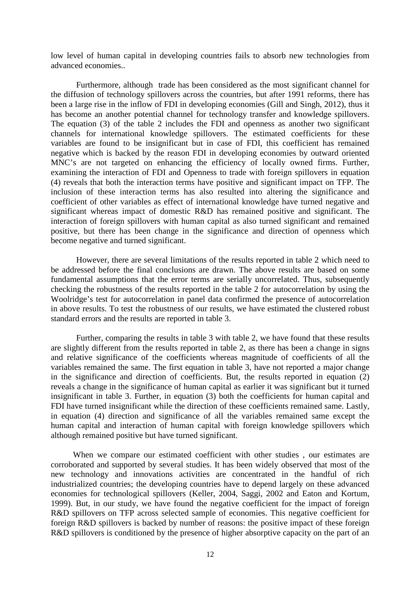low level of human capital in developing countries fails to absorb new technologies from advanced economies..

 Furthermore, although trade has been considered as the most significant channel for the diffusion of technology spillovers across the countries, but after 1991 reforms, there has been a large rise in the inflow of FDI in developing economies (Gill and Singh, 2012), thus it has become an another potential channel for technology transfer and knowledge spillovers. The equation (3) of the table 2 includes the FDI and openness as another two significant channels for international knowledge spillovers. The estimated coefficients for these variables are found to be insignificant but in case of FDI, this coefficient has remained negative which is backed by the reason FDI in developing economies by outward oriented MNC's are not targeted on enhancing the efficiency of locally owned firms. Further, examining the interaction of FDI and Openness to trade with foreign spillovers in equation (4) reveals that both the interaction terms have positive and significant impact on TFP. The inclusion of these interaction terms has also resulted into altering the significance and coefficient of other variables as effect of international knowledge have turned negative and significant whereas impact of domestic R&D has remained positive and significant. The interaction of foreign spillovers with human capital as also turned significant and remained positive, but there has been change in the significance and direction of openness which become negative and turned significant.

 However, there are several limitations of the results reported in table 2 which need to be addressed before the final conclusions are drawn. The above results are based on some fundamental assumptions that the error terms are serially uncorrelated. Thus, subsequently checking the robustness of the results reported in the table 2 for autocorrelation by using the Woolridge's test for autocorrelation in panel data confirmed the presence of autocorrelation in above results. To test the robustness of our results, we have estimated the clustered robust standard errors and the results are reported in table 3.

 Further, comparing the results in table 3 with table 2, we have found that these results are slightly different from the results reported in table 2, as there has been a change in signs and relative significance of the coefficients whereas magnitude of coefficients of all the variables remained the same. The first equation in table 3, have not reported a major change in the significance and direction of coefficients. But, the results reported in equation (2) reveals a change in the significance of human capital as earlier it was significant but it turned insignificant in table 3. Further, in equation (3) both the coefficients for human capital and FDI have turned insignificant while the direction of these coefficients remained same. Lastly, in equation (4) direction and significance of all the variables remained same except the human capital and interaction of human capital with foreign knowledge spillovers which although remained positive but have turned significant.

When we compare our estimated coefficient with other studies , our estimates are corroborated and supported by several studies. It has been widely observed that most of the new technology and innovations activities are concentrated in the handful of rich industrialized countries; the developing countries have to depend largely on these advanced economies for technological spillovers (Keller, 2004, Saggi, 2002 and Eaton and Kortum, 1999). But, in our study, we have found the negative coefficient for the impact of foreign R&D spillovers on TFP across selected sample of economies. This negative coefficient for foreign R&D spillovers is backed by number of reasons: the positive impact of these foreign R&D spillovers is conditioned by the presence of higher absorptive capacity on the part of an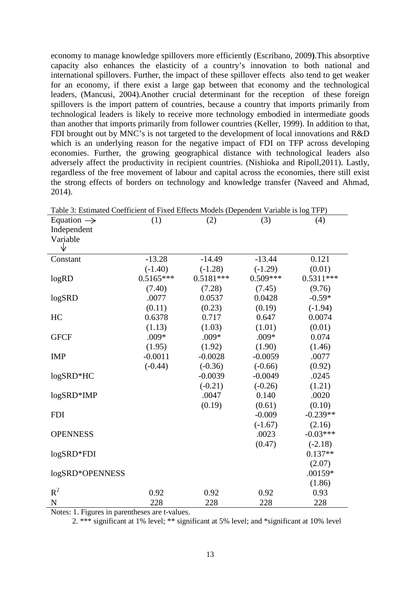economy to manage knowledge spillovers more efficiently (Escribano, 2009**)**.This absorptive capacity also enhances the elasticity of a country's innovation to both national and international spillovers. Further, the impact of these spillover effects also tend to get weaker for an economy, if there exist a large gap between that economy and the technological leaders, (Mancusi, 2004).Another crucial determinant for the reception of these foreign spillovers is the import pattern of countries, because a country that imports primarily from technological leaders is likely to receive more technology embodied in intermediate goods than another that imports primarily from follower countries (Keller, 1999). In addition to that, FDI brought out by MNC's is not targeted to the development of local innovations and R&D which is an underlying reason for the negative impact of FDI on TFP across developing economies. Further, the growing geographical distance with technological leaders also adversely affect the productivity in recipient countries. (Nishioka and Ripoll,2011). Lastly, regardless of the free movement of labour and capital across the economies, there still exist the strong effects of borders on technology and knowledge transfer (Naveed and Ahmad, 2014).

| Table 5. Estimated Coefficient of Fixed Effects Models (Dependent Variable is log TFF) |             |             |            |             |  |  |  |  |
|----------------------------------------------------------------------------------------|-------------|-------------|------------|-------------|--|--|--|--|
| Equation $\rightarrow$                                                                 | (1)         | (2)         | (3)        | (4)         |  |  |  |  |
| Independent                                                                            |             |             |            |             |  |  |  |  |
| Variable                                                                               |             |             |            |             |  |  |  |  |
| Δż                                                                                     |             |             |            |             |  |  |  |  |
| Constant                                                                               | $-13.28$    | $-14.49$    | $-13.44$   | 0.121       |  |  |  |  |
|                                                                                        | $(-1.40)$   | $(-1.28)$   | $(-1.29)$  | (0.01)      |  |  |  |  |
| logRD                                                                                  | $0.5165***$ | $0.5181***$ | $0.509***$ | $0.5311***$ |  |  |  |  |
|                                                                                        | (7.40)      | (7.28)      | (7.45)     | (9.76)      |  |  |  |  |
| logSRD                                                                                 | .0077       | 0.0537      | 0.0428     | $-0.59*$    |  |  |  |  |
|                                                                                        | (0.11)      | (0.23)      | (0.19)     | $(-1.94)$   |  |  |  |  |
| HC                                                                                     | 0.6378      | 0.717       | 0.647      | 0.0074      |  |  |  |  |
|                                                                                        | (1.13)      | (1.03)      | (1.01)     | (0.01)      |  |  |  |  |
| <b>GFCF</b>                                                                            | $.009*$     | $.009*$     | $.009*$    | 0.074       |  |  |  |  |
|                                                                                        | (1.95)      | (1.92)      | (1.90)     | (1.46)      |  |  |  |  |
| <b>IMP</b>                                                                             | $-0.0011$   | $-0.0028$   | $-0.0059$  | .0077       |  |  |  |  |
|                                                                                        | $(-0.44)$   | $(-0.36)$   | $(-0.66)$  | (0.92)      |  |  |  |  |
| logSRD*HC                                                                              |             | $-0.0039$   | $-0.0049$  | .0245       |  |  |  |  |
|                                                                                        |             | $(-0.21)$   | $(-0.26)$  | (1.21)      |  |  |  |  |
| logSRD*IMP                                                                             |             | .0047       | 0.140      | .0020       |  |  |  |  |
|                                                                                        |             | (0.19)      | (0.61)     | (0.10)      |  |  |  |  |
| <b>FDI</b>                                                                             |             |             | $-0.009$   | $-0.239**$  |  |  |  |  |
|                                                                                        |             |             | $(-1.67)$  | (2.16)      |  |  |  |  |
| <b>OPENNESS</b>                                                                        |             |             | .0023      | $-0.03***$  |  |  |  |  |
|                                                                                        |             |             | (0.47)     | $(-2.18)$   |  |  |  |  |
| logSRD*FDI                                                                             |             |             |            | $0.137**$   |  |  |  |  |
|                                                                                        |             |             |            | (2.07)      |  |  |  |  |
| logSRD*OPENNESS                                                                        |             |             |            | .00159*     |  |  |  |  |
|                                                                                        |             |             |            | (1.86)      |  |  |  |  |
| $R^2$                                                                                  | 0.92        | 0.92        | 0.92       | 0.93        |  |  |  |  |
| N                                                                                      | 228         | 228         | 228        | 228         |  |  |  |  |

Table 3: Estimated Coefficient of Fixed Effects Models (Dependent Variable is log TFP)

Notes: 1. Figures in parentheses are t-values.

2. \*\*\* significant at 1% level; \*\* significant at 5% level; and \*significant at 10% level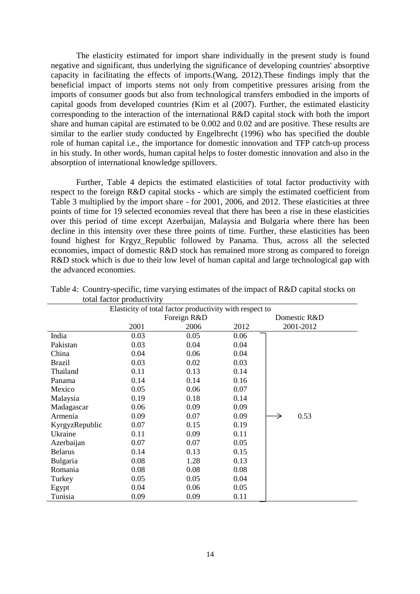The elasticity estimated for import share individually in the present study is found negative and significant, thus underlying the significance of developing countries' absorptive capacity in facilitating the effects of imports.(Wang, 2012).These findings imply that the beneficial impact of imports stems not only from competitive pressures arising from the imports of consumer goods but also from technological transfers embodied in the imports of capital goods from developed countries (Kim et al (2007). Further, the estimated elasticity corresponding to the interaction of the international R&D capital stock with both the import share and human capital are estimated to be 0.002 and 0.02 and are positive. These results are similar to the earlier study conducted by Engelbrecht (1996) who has specified the double role of human capital i.e., the importance for domestic innovation and TFP catch-up process in his study. In other words, human capital helps to foster domestic innovation and also in the absorption of international knowledge spillovers.

 Further, Table 4 depicts the estimated elasticities of total factor productivity with respect to the foreign R&D capital stocks - which are simply the estimated coefficient from Table 3 multiplied by the import share - for 2001, 2006, and 2012. These elasticities at three points of time for 19 selected economies reveal that there has been a rise in these elasticities over this period of time except Azerbaijan, Malaysia and Bulgaria where there has been decline in this intensity over these three points of time. Further, these elasticities has been found highest for Krgyz\_Republic followed by Panama. Thus, across all the selected economies, impact of domestic R&D stock has remained more strong as compared to foreign R&D stock which is due to their low level of human capital and large technological gap with the advanced economies.

| $\frac{1}{2}$<br>Elasticity of total factor productivity with respect to |      |             |              |           |  |  |  |
|--------------------------------------------------------------------------|------|-------------|--------------|-----------|--|--|--|
|                                                                          |      | Foreign R&D | Domestic R&D |           |  |  |  |
|                                                                          | 2001 | 2006        | 2012         | 2001-2012 |  |  |  |
| India                                                                    | 0.03 | 0.05        | 0.06         |           |  |  |  |
| Pakistan                                                                 | 0.03 | 0.04        | 0.04         |           |  |  |  |
| China                                                                    | 0.04 | 0.06        | 0.04         |           |  |  |  |
| <b>Brazil</b>                                                            | 0.03 | 0.02        | 0.03         |           |  |  |  |
| Thailand                                                                 | 0.11 | 0.13        | 0.14         |           |  |  |  |
| Panama                                                                   | 0.14 | 0.14        | 0.16         |           |  |  |  |
| Mexico                                                                   | 0.05 | 0.06        | 0.07         |           |  |  |  |
| Malaysia                                                                 | 0.19 | 0.18        | 0.14         |           |  |  |  |
| Madagascar                                                               | 0.06 | 0.09        | 0.09         |           |  |  |  |
| Armenia                                                                  | 0.09 | 0.07        | 0.09         | 0.53      |  |  |  |
| KyrgyzRepublic                                                           | 0.07 | 0.15        | 0.19         |           |  |  |  |
| Ukraine                                                                  | 0.11 | 0.09        | 0.11         |           |  |  |  |
| Azerbaijan                                                               | 0.07 | 0.07        | 0.05         |           |  |  |  |
| <b>Belarus</b>                                                           | 0.14 | 0.13        | 0.15         |           |  |  |  |
| Bulgaria                                                                 | 0.08 | 1.28        | 0.13         |           |  |  |  |
| Romania                                                                  | 0.08 | 0.08        | 0.08         |           |  |  |  |
| Turkey                                                                   | 0.05 | 0.05        | 0.04         |           |  |  |  |
| Egypt                                                                    | 0.04 | 0.06        | 0.05         |           |  |  |  |
| Tunisia                                                                  | 0.09 | 0.09        | 0.11         |           |  |  |  |

| Table 4: Country-specific, time varying estimates of the impact of R&D capital stocks on |  |  |  |  |
|------------------------------------------------------------------------------------------|--|--|--|--|
| total factor productivity                                                                |  |  |  |  |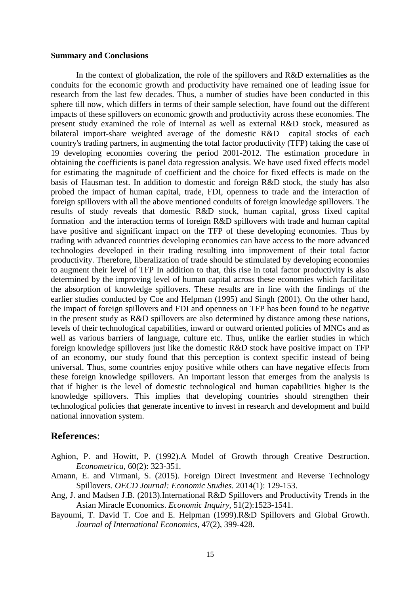#### **Summary and Conclusions**

 In the context of globalization, the role of the spillovers and R&D externalities as the conduits for the economic growth and productivity have remained one of leading issue for research from the last few decades. Thus, a number of studies have been conducted in this sphere till now, which differs in terms of their sample selection, have found out the different impacts of these spillovers on economic growth and productivity across these economies. The present study examined the role of internal as well as external R&D stock, measured as bilateral import-share weighted average of the domestic R&D capital stocks of each country's trading partners, in augmenting the total factor productivity (TFP) taking the case of 19 developing economies covering the period 2001-2012. The estimation procedure in obtaining the coefficients is panel data regression analysis. We have used fixed effects model for estimating the magnitude of coefficient and the choice for fixed effects is made on the basis of Hausman test. In addition to domestic and foreign R&D stock, the study has also probed the impact of human capital, trade, FDI, openness to trade and the interaction of foreign spillovers with all the above mentioned conduits of foreign knowledge spillovers. The results of study reveals that domestic R&D stock, human capital, gross fixed capital formation and the interaction terms of foreign R&D spillovers with trade and human capital have positive and significant impact on the TFP of these developing economies. Thus by trading with advanced countries developing economies can have access to the more advanced technologies developed in their trading resulting into improvement of their total factor productivity. Therefore, liberalization of trade should be stimulated by developing economies to augment their level of TFP In addition to that, this rise in total factor productivity is also determined by the improving level of human capital across these economies which facilitate the absorption of knowledge spillovers. These results are in line with the findings of the earlier studies conducted by Coe and Helpman (1995) and Singh (2001). On the other hand, the impact of foreign spillovers and FDI and openness on TFP has been found to be negative in the present study as R&D spillovers are also determined by distance among these nations, levels of their technological capabilities, inward or outward oriented policies of MNCs and as well as various barriers of language, culture etc. Thus, unlike the earlier studies in which foreign knowledge spillovers just like the domestic R&D stock have positive impact on TFP of an economy, our study found that this perception is context specific instead of being universal. Thus, some countries enjoy positive while others can have negative effects from these foreign knowledge spillovers. An important lesson that emerges from the analysis is that if higher is the level of domestic technological and human capabilities higher is the knowledge spillovers. This implies that developing countries should strengthen their technological policies that generate incentive to invest in research and development and build national innovation system.

## **References**:

- Aghion, P. and Howitt, P. (1992).A Model of Growth through Creative Destruction. *Econometrica*, 60(2): 323-351.
- Amann, E. and Virmani, S. (2015). Foreign Direct Investment and Reverse Technology Spillovers*. OECD Journal: Economic Studies*. 2014(1): 129-153.
- Ang, J. and Madsen J.B. (2013).International R&D Spillovers and Productivity Trends in the Asian Miracle Economics. *Economic Inquiry*, 51(2):1523-1541.
- Bayoumi, T. David T. Coe and E. Helpman (1999).R&D Spillovers and Global Growth. *Journal of International Economics*, 47(2), 399-428.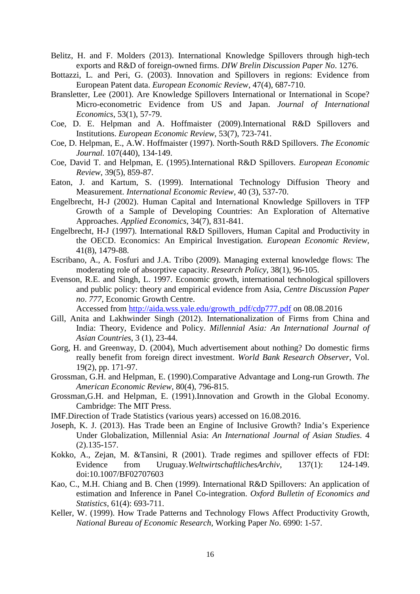- Belitz, H. and F. Molders (2013). International Knowledge Spillovers through high-tech exports and R&D of foreign-owned firms. *DIW Brelin Discussion Paper No*. 1276.
- Bottazzi, L. and Peri, G. (2003). Innovation and Spillovers in regions: Evidence from European Patent data. *European Economic Review*, 47(4), 687-710.
- Bransletter, Lee (2001). Are Knowledge Spillovers International or International in Scope? Micro-econometric Evidence from US and Japan. *Journal of International Economics*, 53(1), 57-79.
- Coe, D. E. Helpman and A. Hoffmaister (2009).International R&D Spillovers and Institutions. *European Economic Review*, 53(7), 723-741.
- Coe, D. Helpman, E., A.W. Hoffmaister (1997). North-South R&D Spillovers. *The Economic Journal.* 107(440), 134-149.
- Coe, David T. and Helpman, E. (1995).International R&D Spillovers. *European Economic Review*, 39(5), 859-87.
- Eaton, J. and Kartum, S. (1999). International Technology Diffusion Theory and Measurement. *International Economic Review*, 40 (3), 537-70.
- Engelbrecht, H-J (2002). Human Capital and International Knowledge Spillovers in TFP Growth of a Sample of Developing Countries: An Exploration of Alternative Approaches. *Applied Economics*, 34(7), 831-841.
- Engelbrecht, H-J (1997). International R&D Spillovers, Human Capital and Productivity in the OECD. Economics: An Empirical Investigation. *European Economic Review,* 41(8), 1479-88.
- Escribano, A., A. Fosfuri and J.A. Tribo (2009). Managing external knowledge flows: The moderating role of absorptive capacity. *Research Policy*, 38(1), 96-105.
- Evenson, R.E. and Singh, L. 1997. Economic growth, international technological spillovers and public policy: theory and empirical evidence from Asia, *Centre Discussion Paper no*. *777*, Economic Growth Centre.

Accessed from http://aida.wss.yale.edu/growth\_pdf/cdp777.pdf on 08.08.2016

- Gill, Anita and Lakhwinder Singh (2012). Internationalization of Firms from China and India: Theory, Evidence and Policy. *Millennial Asia: An International Journal of Asian Countries*, 3 (1), 23-44.
- Gorg, H. and Greenway, D. (2004), Much advertisement about nothing? Do domestic firms really benefit from foreign direct investment. *World Bank Research Observer*, Vol. 19(2), pp. 171-97.
- Grossman, G.H. and Helpman, E. (1990).Comparative Advantage and Long-run Growth. *The American Economic Review*, 80(4), 796-815.
- Grossman,G.H. and Helpman, E. (1991).Innovation and Growth in the Global Economy. Cambridge: The MIT Press.
- IMF.Direction of Trade Statistics (various years) accessed on 16.08.2016.
- Joseph, K. J. (2013). Has Trade been an Engine of Inclusive Growth? India's Experience Under Globalization, Millennial Asia: *An International Journal of Asian Studies*. 4 (2).135-157.
- Kokko, A., Zejan, M. &Tansini, R (2001). Trade regimes and spillover effects of FDI: Evidence from Uruguay.*WeltwirtschaftlichesArchiv*, 137(1): 124-149. doi:10.1007/BF02707603
- Kao, C., M.H. Chiang and B. Chen (1999). International R&D Spillovers: An application of estimation and Inference in Panel Co-integration. *Oxford Bulletin of Economics and Statistics,* 61(4): 693-711.
- Keller, W. (1999). How Trade Patterns and Technology Flows Affect Productivity Growth, *National Bureau of Economic Research*, Working Paper *No*. 6990: 1-57.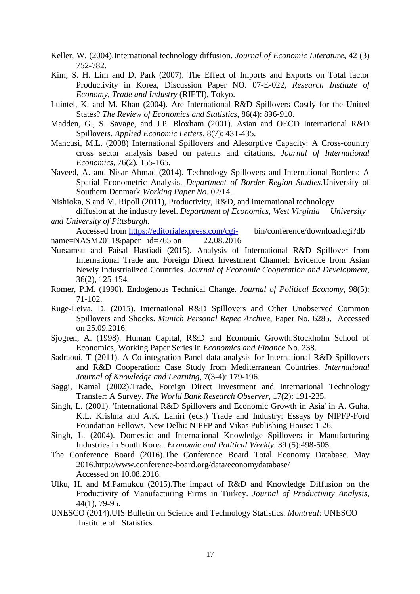- Keller, W. (2004).International technology diffusion. *Journal of Economic Literature*, 42 (3) 752-782.
- Kim, S. H. Lim and D. Park (2007). The Effect of Imports and Exports on Total factor Productivity in Korea, Discussion Paper NO. 07-E-022, *Research Institute of Economy, Trade and Industry* (RIETI), Tokyo.
- Luintel, K. and M. Khan (2004). Are International R&D Spillovers Costly for the United States? *The Review of Economics and Statistics*, 86(4): 896-910.
- Madden, G., S. Savage, and J.P. Bloxham (2001). Asian and OECD International R&D Spillovers. *Applied Economic Letters*, 8(7): 431-435.
- Mancusi, M.L. (2008) International Spillovers and Alesorptive Capacity: A Cross-country cross sector analysis based on patents and citations. *Journal of International Economics,* 76(2), 155-165.
- Naveed, A. and Nisar Ahmad (2014). Technology Spillovers and International Borders: A Spatial Econometric Analysis. *Department of Border Region Studies.*University of Southern Denmark.*Working Paper No*. 02/14.
- Nishioka, S and M. Ripoll (2011), Productivity, R&D, and international technology
- diffusion at the industry level. *Department of Economics, West Virginia University and University of Pittsburgh.*
- Accessed from https://editorialexpress.com/cgi- bin/conference/download.cgi?db name=NASM2011&paper \_id=765 on 22.08.2016
- Nursamsu and Faisal Hastiadi (2015). Analysis of International R&D Spillover from International Trade and Foreign Direct Investment Channel: Evidence from Asian Newly Industrialized Countries*. Journal of Economic Cooperation and Development,* 36(2), 125-154.
- Romer, P.M. (1990). Endogenous Technical Change. *Journal of Political Economy*, 98(5): 71-102.
- Ruge-Leiva, D. (2015). International R&D Spillovers and Other Unobserved Common Spillovers and Shocks. *Munich Personal Repec Archive*, Paper No. 6285, Accessed on 25.09.2016.
- Sjogren, A. (1998). Human Capital, R&D and Economic Growth.Stockholm School of Economics, Working Paper Series in *Economics and Finance* No. 238.
- Sadraoui, T (2011). A Co-integration Panel data analysis for International R&D Spillovers and R&D Cooperation: Case Study from Mediterranean Countries. *International Journal of Knowledge and Learning*, 7(3-4): 179-196.
- Saggi, Kamal (2002).Trade, Foreign Direct Investment and International Technology Transfer: A Survey. *The World Bank Research Observer*, 17(2): 191-235.
- Singh, L. (2001). 'International R&D Spillovers and Economic Growth in Asia' in A. Guha, K.L. Krishna and A.K. Lahiri (eds.) Trade and Industry: Essays by NIPFP-Ford Foundation Fellows, New Delhi: NIPFP and Vikas Publishing House: 1-26.
- Singh, L. (2004). Domestic and International Knowledge Spillovers in Manufacturing Industries in South Korea. *Economic and Political Weekly*. 39 (5):498-505.
- The Conference Board (2016).The Conference Board Total Economy Database. May 2016.http://www.conference-board.org/data/economydatabase/ Accessed on 10.08.2016.
- Ulku, H. and M.Pamukcu (2015).The impact of R&D and Knowledge Diffusion on the Productivity of Manufacturing Firms in Turkey. *Journal of Productivity Analysis*, 44(1), 79-95.
- UNESCO (2014).UIS Bulletin on Science and Technology Statistics*. Montreal*: UNESCO Institute of Statistics*.*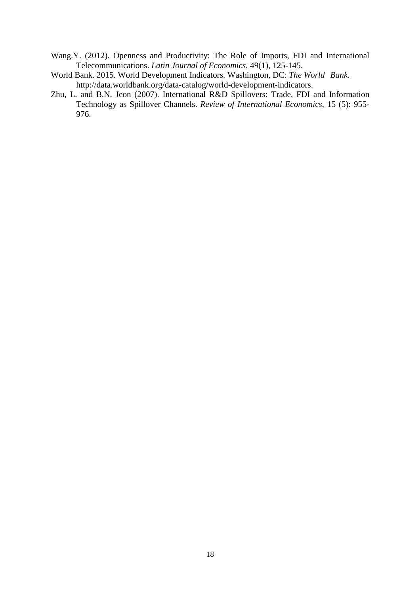- Wang.Y. (2012). Openness and Productivity: The Role of Imports, FDI and International Telecommunications. *Latin Journal of Economics*, 49(1), 125-145.
- World Bank. 2015. World Development Indicators*.* Washington, DC: *The World Bank.*  http://data.worldbank.org/data-catalog/world-development-indicators.
- Zhu, L. and B.N. Jeon (2007). International R&D Spillovers: Trade, FDI and Information Technology as Spillover Channels. *Review of International Economics*, 15 (5): 955- 976.